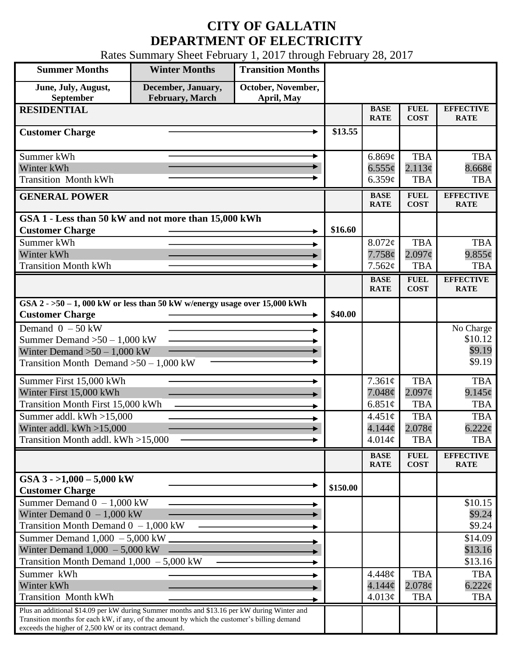## **CITY OF GALLATIN DEPARTMENT OF ELECTRICITY**

Rates Summary Sheet February 1, 2017 through February 28, 2017

| <b>Summer Months</b>                                                                                  | <b>Winter Months</b>                          | <b>Transition Months</b>         |          |                              |                                  |                                 |
|-------------------------------------------------------------------------------------------------------|-----------------------------------------------|----------------------------------|----------|------------------------------|----------------------------------|---------------------------------|
| June, July, August,<br>September                                                                      | December, January,<br><b>February</b> , March | October, November,<br>April, May |          |                              |                                  |                                 |
| <b>RESIDENTIAL</b>                                                                                    |                                               |                                  |          | <b>BASE</b><br><b>RATE</b>   | <b>FUEL</b><br><b>COST</b>       | <b>EFFECTIVE</b><br><b>RATE</b> |
| <b>Customer Charge</b>                                                                                |                                               |                                  | \$13.55  |                              |                                  |                                 |
| Summer kWh                                                                                            |                                               | ►                                |          | 6.869¢                       | <b>TBA</b>                       | <b>TBA</b>                      |
| Winter kWh                                                                                            |                                               |                                  |          | $6.555\phi$                  | 2.113¢                           | 8.668¢                          |
| <b>Transition Month kWh</b>                                                                           |                                               |                                  |          | 6.359¢                       | <b>TBA</b>                       | <b>TBA</b>                      |
| <b>GENERAL POWER</b>                                                                                  |                                               |                                  |          | <b>BASE</b><br><b>RATE</b>   | <b>FUEL</b><br><b>COST</b>       | <b>EFFECTIVE</b><br><b>RATE</b> |
| GSA 1 - Less than 50 kW and not more than 15,000 kWh                                                  |                                               |                                  |          |                              |                                  |                                 |
| <b>Customer Charge</b><br>Summer kWh                                                                  |                                               |                                  | \$16.60  |                              |                                  |                                 |
| Winter kWh                                                                                            |                                               |                                  |          | 8.072¢<br>7.758¢             | <b>TBA</b><br>2.097 <sub>c</sub> | <b>TBA</b><br>$9.855\phi$       |
| <b>Transition Month kWh</b>                                                                           |                                               |                                  |          | 7.562¢                       | <b>TBA</b>                       | <b>TBA</b>                      |
|                                                                                                       |                                               |                                  |          | <b>BASE</b>                  | <b>FUEL</b>                      | <b>EFFECTIVE</b>                |
|                                                                                                       |                                               |                                  |          | <b>RATE</b>                  | <b>COST</b>                      | <b>RATE</b>                     |
| GSA $2 - 50 - 1$ , 000 kW or less than 50 kW w/energy usage over 15,000 kWh<br><b>Customer Charge</b> |                                               |                                  | \$40.00  |                              |                                  |                                 |
| Demand $0 - 50$ kW                                                                                    |                                               |                                  |          |                              |                                  | No Charge                       |
| Summer Demand $>50 - 1,000$ kW                                                                        |                                               |                                  |          |                              |                                  | \$10.12                         |
| Winter Demand $>50 - 1,000$ kW                                                                        |                                               |                                  |          |                              |                                  | \$9.19                          |
| Transition Month Demand $>50-1,000$ kW                                                                |                                               |                                  |          |                              |                                  | \$9.19                          |
| Summer First 15,000 kWh                                                                               |                                               |                                  |          | 7.361¢                       | <b>TBA</b>                       | <b>TBA</b>                      |
| Winter First 15,000 kWh                                                                               |                                               |                                  |          | 7.048¢                       | $2.097\phi$                      | $9.145\varphi$                  |
| <b>Transition Month First 15,000 kWh</b>                                                              |                                               |                                  |          | 6.851 $\phi$                 | <b>TBA</b>                       | <b>TBA</b>                      |
| Summer addl. $kWh > 15,000$                                                                           |                                               |                                  |          | $4.451\phi$                  | <b>TBA</b>                       | <b>TBA</b>                      |
| Winter addl. $kWh > 15,000$<br>Transition Month addl. kWh >15,000                                     |                                               |                                  |          | 4.144 <sub>c</sub><br>4.014¢ | 2.078¢<br><b>TBA</b>             | $6.222\phi$<br><b>TBA</b>       |
|                                                                                                       |                                               |                                  |          |                              |                                  |                                 |
|                                                                                                       |                                               |                                  |          | <b>BASE</b><br><b>RATE</b>   | <b>FUEL</b><br><b>COST</b>       | <b>EFFECTIVE</b><br><b>RATE</b> |
| GSA $3 - 1,000 - 5,000$ kW<br><b>Customer Charge</b>                                                  |                                               |                                  | \$150.00 |                              |                                  |                                 |
| Summer Demand $0 - 1,000$ kW                                                                          |                                               |                                  |          |                              |                                  | \$10.15                         |
| Winter Demand $0 - 1,000$ kW                                                                          |                                               |                                  |          |                              |                                  | \$9.24                          |
| Transition Month Demand $0 - 1,000$ kW                                                                |                                               |                                  |          |                              |                                  | \$9.24                          |
| Summer Demand $1,000 - 5,000$ kW                                                                      |                                               |                                  |          |                              |                                  | \$14.09                         |
| Winter Demand $1,000 - 5,000$ kW                                                                      |                                               |                                  |          |                              |                                  | \$13.16                         |
| Transition Month Demand $1,000 - 5,000$ kW                                                            |                                               |                                  |          |                              |                                  | \$13.16                         |
| Summer kWh<br>Winter kWh                                                                              |                                               |                                  |          | $4.448\phi$<br>4.144¢        | <b>TBA</b><br>$2.078\phi$        | <b>TBA</b><br>$6.222\phi$       |
| <b>Transition Month kWh</b>                                                                           |                                               |                                  |          | 4.013¢                       | <b>TBA</b>                       | <b>TBA</b>                      |
| Plus an additional \$14.09 per kW during Summer months and \$13.16 per kW during Winter and           |                                               |                                  |          |                              |                                  |                                 |
| Transition months for each kW, if any, of the amount by which the customer's billing demand           |                                               |                                  |          |                              |                                  |                                 |
| exceeds the higher of 2,500 kW or its contract demand.                                                |                                               |                                  |          |                              |                                  |                                 |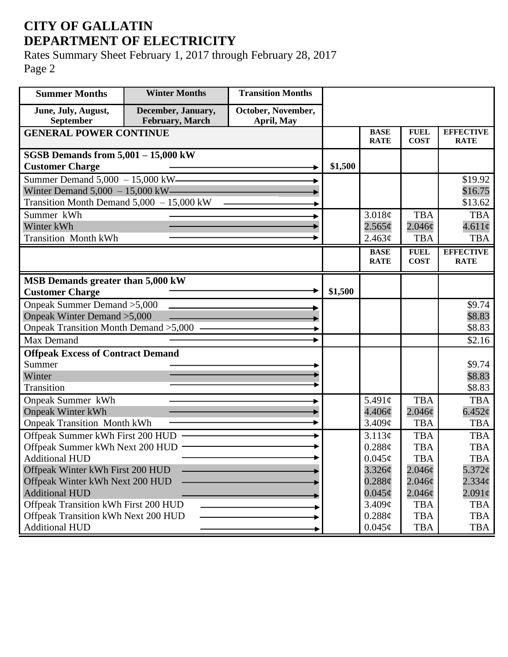## **CITY OF GALLATIN DEPARTMENT OF ELECTRICITY**

Rates Summary Sheet February 1, 2017 through February 28, 2017 Page 2

| <b>Summer Months</b>                                       | <b>Winter Months</b>                  | <b>Transition Months</b>         |         |                            |                            |                                 |
|------------------------------------------------------------|---------------------------------------|----------------------------------|---------|----------------------------|----------------------------|---------------------------------|
| June, July, August,<br>September                           | December, January,<br>February, March | October, November,<br>April, May |         |                            |                            |                                 |
| <b>GENERAL POWER CONTINUE</b>                              |                                       |                                  |         | <b>BASE</b><br><b>RATE</b> | <b>FUEL</b><br><b>COST</b> | <b>EFFECTIVE</b><br><b>RATE</b> |
| SGSB Demands from $5,001 - 15,000$ kW                      |                                       |                                  |         |                            |                            |                                 |
| <b>Customer Charge</b>                                     |                                       |                                  | \$1,500 |                            |                            |                                 |
| Summer Demand $5,000 - 15,000$ kW-                         |                                       |                                  |         |                            |                            | \$19.92                         |
| Winter Demand $5,000 - 15,000$ kW-                         |                                       |                                  |         |                            |                            | \$16.75                         |
| Transition Month Demand 5,000 - 15,000 kW                  |                                       |                                  |         |                            |                            | \$13.62                         |
| Summer kWh                                                 |                                       |                                  |         | 3.018¢                     | <b>TBA</b>                 | <b>TBA</b>                      |
| Winter kWh                                                 |                                       |                                  |         | 2.565¢                     | $2.046\mathcal{C}$         | $4.611\phi$                     |
| <b>Transition Month kWh</b>                                |                                       |                                  |         | 2.463¢                     | <b>TBA</b>                 | <b>TBA</b>                      |
|                                                            |                                       |                                  |         | <b>BASE</b><br><b>RATE</b> | <b>FUEL</b><br><b>COST</b> | <b>EFFECTIVE</b><br><b>RATE</b> |
|                                                            |                                       |                                  |         |                            |                            |                                 |
| MSB Demands greater than 5,000 kW                          |                                       |                                  |         |                            |                            |                                 |
| <b>Customer Charge</b>                                     |                                       |                                  | \$1,500 |                            |                            |                                 |
| Onpeak Summer Demand > 5,000                               |                                       |                                  |         |                            |                            | \$9.74                          |
| Onpeak Winter Demand > 5,000                               |                                       |                                  |         |                            |                            | \$8.83                          |
| Onpeak Transition Month Demand > 5,000                     |                                       |                                  |         |                            |                            | \$8.83                          |
| Max Demand                                                 |                                       |                                  |         |                            |                            | \$2.16                          |
| <b>Offpeak Excess of Contract Demand</b>                   |                                       |                                  |         |                            |                            |                                 |
| Summer                                                     |                                       |                                  |         |                            |                            | \$9.74                          |
| Winter                                                     |                                       |                                  |         |                            |                            | \$8.83                          |
| <b>Transition</b>                                          |                                       |                                  |         |                            |                            | \$8.83                          |
| Onpeak Summer kWh                                          |                                       |                                  |         | 5.491 $\phi$               | <b>TBA</b>                 | <b>TBA</b>                      |
| <b>Onpeak Winter kWh</b>                                   |                                       |                                  |         | 4.406¢                     | 2.046c                     | 6.452¢                          |
| <b>Onpeak Transition Month kWh</b>                         |                                       |                                  |         | 3.409 <sub>c</sub>         | <b>TBA</b>                 | <b>TBA</b>                      |
| Offpeak Summer kWh First 200 HUD                           |                                       |                                  |         | 3.113¢                     | <b>TBA</b>                 | <b>TBA</b>                      |
| Offpeak Summer kWh Next 200 HUD ·<br><b>Additional HUD</b> |                                       |                                  |         | 0.288¢<br>$0.045\phi$      | <b>TBA</b><br><b>TBA</b>   | <b>TBA</b><br><b>TBA</b>        |
| Offpeak Winter kWh First 200 HUD                           |                                       |                                  |         | 3.326¢                     | $2.046\phi$                | $5.372$ ¢                       |
| Offpeak Winter kWh Next 200 HUD                            |                                       |                                  |         | $0.288\phi$                | $2.046\phi$                | $2.334\varphi$                  |
| <b>Additional HUD</b>                                      |                                       |                                  |         | $0.045\phi$                | $2.046\phi$                | $2.091\epsilon$                 |
| Offpeak Transition kWh First 200 HUD                       |                                       |                                  |         | 3.409¢                     | <b>TBA</b>                 | <b>TBA</b>                      |
| Offpeak Transition kWh Next 200 HUD                        |                                       |                                  |         | 0.288¢                     | <b>TBA</b>                 | <b>TBA</b>                      |
| <b>Additional HUD</b>                                      |                                       |                                  |         | $0.045\phi$                | <b>TBA</b>                 | TBA                             |